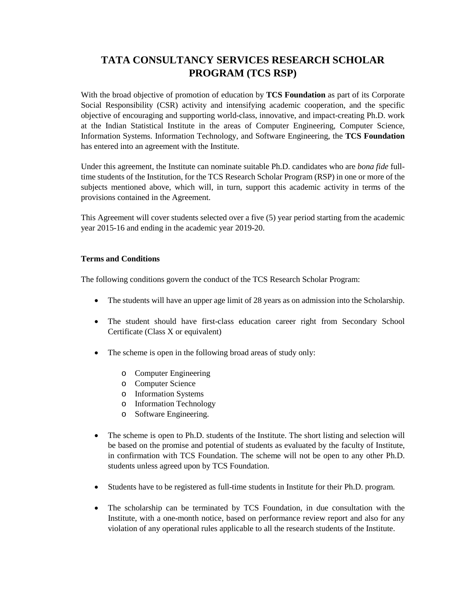# **TATA CONSULTANCY SERVICES RESEARCH SCHOLAR PROGRAM (TCS RSP)**

With the broad objective of promotion of education by **TCS Foundation** as part of its Corporate Social Responsibility (CSR) activity and intensifying academic cooperation, and the specific objective of encouraging and supporting world-class, innovative, and impact-creating Ph.D. work at the Indian Statistical Institute in the areas of Computer Engineering, Computer Science, Information Systems. Information Technology, and Software Engineering, the **TCS Foundation** has entered into an agreement with the Institute.

Under this agreement, the Institute can nominate suitable Ph.D. candidates who are *bona fide* fulltime students of the Institution, for the TCS Research Scholar Program (RSP) in one or more of the subjects mentioned above, which will, in turn, support this academic activity in terms of the provisions contained in the Agreement.

This Agreement will cover students selected over a five (5) year period starting from the academic year 2015-16 and ending in the academic year 2019-20.

### **Terms and Conditions**

The following conditions govern the conduct of the TCS Research Scholar Program:

- The students will have an upper age limit of 28 years as on admission into the Scholarship.
- The student should have first-class education career right from Secondary School Certificate (Class X or equivalent)
- The scheme is open in the following broad areas of study only:
	- o Computer Engineering
	- o Computer Science
	- o Information Systems
	- o Information Technology
	- o Software Engineering.
- The scheme is open to Ph.D. students of the Institute. The short listing and selection will be based on the promise and potential of students as evaluated by the faculty of Institute, in confirmation with TCS Foundation. The scheme will not be open to any other Ph.D. students unless agreed upon by TCS Foundation.
- Students have to be registered as full-time students in Institute for their Ph.D. program.
- The scholarship can be terminated by TCS Foundation, in due consultation with the Institute, with a one-month notice, based on performance review report and also for any violation of any operational rules applicable to all the research students of the Institute.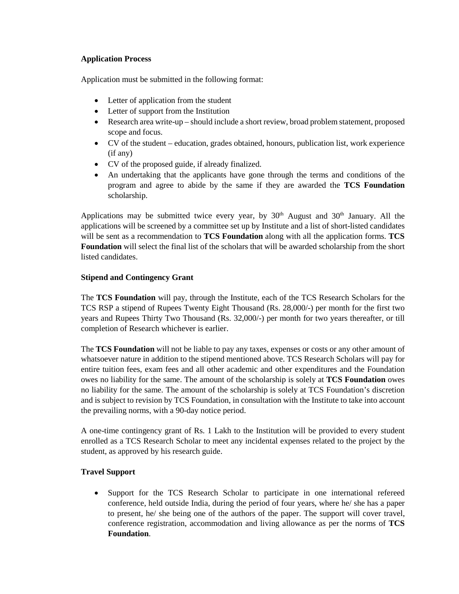### **Application Process**

Application must be submitted in the following format:

- Letter of application from the student
- Letter of support from the Institution
- Research area write-up should include a short review, broad problem statement, proposed scope and focus.
- CV of the student education, grades obtained, honours, publication list, work experience (if any)
- CV of the proposed guide, if already finalized.
- An undertaking that the applicants have gone through the terms and conditions of the program and agree to abide by the same if they are awarded the **TCS Foundation** scholarship.

Applications may be submitted twice every year, by  $30<sup>th</sup>$  August and  $30<sup>th</sup>$  January. All the applications will be screened by a committee set up by Institute and a list of short-listed candidates will be sent as a recommendation to **TCS Foundation** along with all the application forms. **TCS Foundation** will select the final list of the scholars that will be awarded scholarship from the short listed candidates.

### **Stipend and Contingency Grant**

The **TCS Foundation** will pay, through the Institute, each of the TCS Research Scholars for the TCS RSP a stipend of Rupees Twenty Eight Thousand (Rs. 28,000/-) per month for the first two years and Rupees Thirty Two Thousand (Rs. 32,000/-) per month for two years thereafter, or till completion of Research whichever is earlier.

The **TCS Foundation** will not be liable to pay any taxes, expenses or costs or any other amount of whatsoever nature in addition to the stipend mentioned above. TCS Research Scholars will pay for entire tuition fees, exam fees and all other academic and other expenditures and the Foundation owes no liability for the same. The amount of the scholarship is solely at **TCS Foundation** owes no liability for the same. The amount of the scholarship is solely at TCS Foundation's discretion and is subject to revision by TCS Foundation, in consultation with the Institute to take into account the prevailing norms, with a 90-day notice period.

A one-time contingency grant of Rs. 1 Lakh to the Institution will be provided to every student enrolled as a TCS Research Scholar to meet any incidental expenses related to the project by the student, as approved by his research guide.

## **Travel Support**

• Support for the TCS Research Scholar to participate in one international refereed conference, held outside India, during the period of four years, where he/ she has a paper to present, he/ she being one of the authors of the paper. The support will cover travel, conference registration, accommodation and living allowance as per the norms of **TCS Foundation**.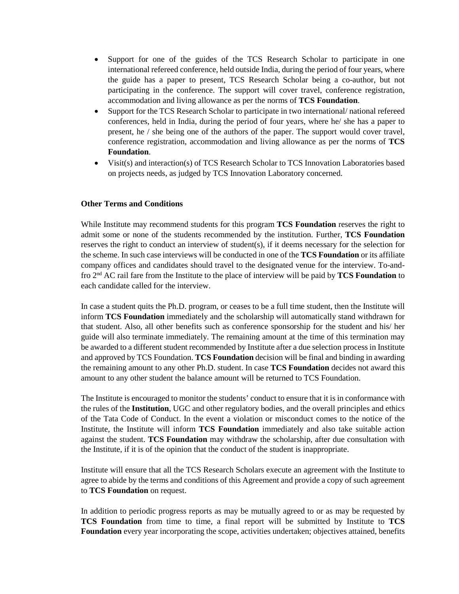- Support for one of the guides of the TCS Research Scholar to participate in one international refereed conference, held outside India, during the period of four years, where the guide has a paper to present, TCS Research Scholar being a co-author, but not participating in the conference. The support will cover travel, conference registration, accommodation and living allowance as per the norms of **TCS Foundation**.
- Support for the TCS Research Scholar to participate in two international/national refereed conferences, held in India, during the period of four years, where he/ she has a paper to present, he / she being one of the authors of the paper. The support would cover travel, conference registration, accommodation and living allowance as per the norms of **TCS Foundation**.
- Visit(s) and interaction(s) of TCS Research Scholar to TCS Innovation Laboratories based on projects needs, as judged by TCS Innovation Laboratory concerned.

#### **Other Terms and Conditions**

While Institute may recommend students for this program **TCS Foundation** reserves the right to admit some or none of the students recommended by the institution. Further, **TCS Foundation** reserves the right to conduct an interview of student(s), if it deems necessary for the selection for the scheme. In such case interviews will be conducted in one of the **TCS Foundation** or its affiliate company offices and candidates should travel to the designated venue for the interview. To-andfro 2nd AC rail fare from the Institute to the place of interview will be paid by **TCS Foundation** to each candidate called for the interview.

In case a student quits the Ph.D. program, or ceases to be a full time student, then the Institute will inform **TCS Foundation** immediately and the scholarship will automatically stand withdrawn for that student. Also, all other benefits such as conference sponsorship for the student and his/ her guide will also terminate immediately. The remaining amount at the time of this termination may be awarded to a different student recommended by Institute after a due selection process in Institute and approved by TCS Foundation. **TCS Foundation** decision will be final and binding in awarding the remaining amount to any other Ph.D. student. In case **TCS Foundation** decides not award this amount to any other student the balance amount will be returned to TCS Foundation.

The Institute is encouraged to monitor the students' conduct to ensure that it is in conformance with the rules of the **Institution**, UGC and other regulatory bodies, and the overall principles and ethics of the Tata Code of Conduct. In the event a violation or misconduct comes to the notice of the Institute, the Institute will inform **TCS Foundation** immediately and also take suitable action against the student. **TCS Foundation** may withdraw the scholarship, after due consultation with the Institute, if it is of the opinion that the conduct of the student is inappropriate.

Institute will ensure that all the TCS Research Scholars execute an agreement with the Institute to agree to abide by the terms and conditions of this Agreement and provide a copy of such agreement to **TCS Foundation** on request.

In addition to periodic progress reports as may be mutually agreed to or as may be requested by **TCS Foundation** from time to time, a final report will be submitted by Institute to **TCS Foundation** every year incorporating the scope, activities undertaken; objectives attained, benefits